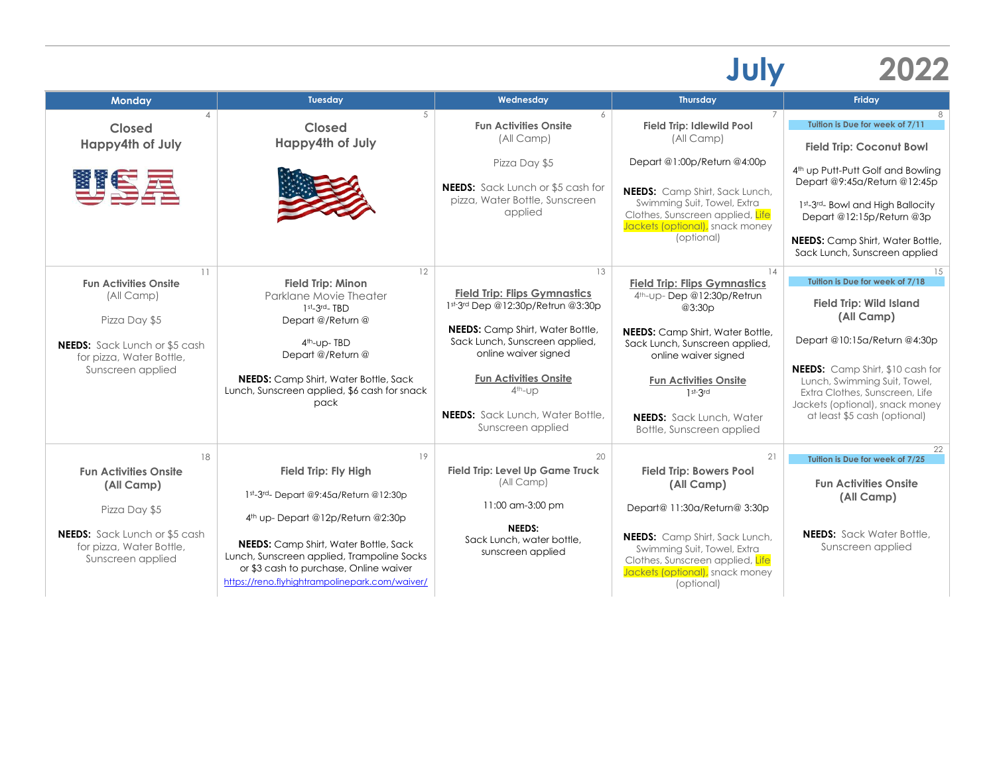## **July 2022**

| <b>Monday</b>                                                                                                                                              | Tuesday                                                                                                                                                                                                                                                                                                  | Wednesday                                                                                                                                                                                                                                                                                                  | <b>Thursday</b>                                                                                                                                                                                                                                                                                    | Friday                                                                                                                                                                                                                                                                                                |
|------------------------------------------------------------------------------------------------------------------------------------------------------------|----------------------------------------------------------------------------------------------------------------------------------------------------------------------------------------------------------------------------------------------------------------------------------------------------------|------------------------------------------------------------------------------------------------------------------------------------------------------------------------------------------------------------------------------------------------------------------------------------------------------------|----------------------------------------------------------------------------------------------------------------------------------------------------------------------------------------------------------------------------------------------------------------------------------------------------|-------------------------------------------------------------------------------------------------------------------------------------------------------------------------------------------------------------------------------------------------------------------------------------------------------|
| Closed<br>Happy4th of July                                                                                                                                 | 5<br><b>Closed</b><br>Happy4th of July                                                                                                                                                                                                                                                                   | 6<br><b>Fun Activities Onsite</b><br>(All Camp)                                                                                                                                                                                                                                                            | 7<br><b>Field Trip: Idlewild Pool</b><br>(All Camp)                                                                                                                                                                                                                                                | Tuition is Due for week of 7/11<br><b>Field Trip: Coconut Bowl</b>                                                                                                                                                                                                                                    |
| 雙客屋                                                                                                                                                        |                                                                                                                                                                                                                                                                                                          | Pizza Day \$5<br><b>NEEDS:</b> Sack Lunch or \$5 cash for<br>pizza, Water Bottle, Sunscreen<br>applied                                                                                                                                                                                                     | Depart @1:00p/Return @4:00p<br><b>NEEDS:</b> Camp Shirt, Sack Lunch,<br>Swimming Suit, Towel, Extra<br>Clothes, Sunscreen applied, Life<br>Jackets (optional), snack money<br>(optional)                                                                                                           | 4 <sup>th</sup> up Putt-Putt Golf and Bowling<br>Depart @9:45a/Return @12:45p<br>1st-3rd- Bowl and High Ballocity<br>Depart @12:15p/Return @3p<br><b>NEEDS:</b> Camp Shirt, Water Bottle,<br>Sack Lunch, Sunscreen applied                                                                            |
| 11<br><b>Fun Activities Onsite</b><br>(All Camp)<br>Pizza Day \$5<br><b>NEEDS:</b> Sack Lunch or \$5 cash<br>for pizza, Water Bottle,<br>Sunscreen applied | 12<br><b>Field Trip: Minon</b><br>Parklane Movie Theater<br>$1st - 3rd - TBD$<br>Depart @/Return @<br>4th-up-TBD<br>Depart @/Return @<br><b>NEEDS:</b> Camp Shirt, Water Bottle, Sack<br>Lunch, Sunscreen applied, \$6 cash for snack<br>pack                                                            | 13<br><b>Field Trip: Flips Gymnastics</b><br>1st-3rd Dep @12:30p/Retrun @3:30p<br><b>NEEDS:</b> Camp Shirt, Water Bottle,<br>Sack Lunch, Sunscreen applied,<br>online waiver signed<br><b>Fun Activities Onsite</b><br>4 <sup>th</sup> -UD<br><b>NEEDS:</b> Sack Lunch, Water Bottle,<br>Sunscreen applied | 14<br><b>Field Trip: Flips Gymnastics</b><br>4th-up-Dep @12:30p/Retrun<br>@3:30p<br><b>NEEDS:</b> Camp Shirt, Water Bottle,<br>Sack Lunch, Sunscreen applied,<br>online waiver signed<br><b>Fun Activities Onsite</b><br>$1st-3rd$<br><b>NEEDS:</b> Sack Lunch, Water<br>Bottle, Sunscreen applied | 15<br>Tuition is Due for week of 7/18<br><b>Field Trip: Wild Island</b><br>(All Camp)<br>Depart @10:15a/Return @4:30p<br><b>NEEDS:</b> Camp Shirt, \$10 cash for<br>Lunch, Swimming Suit, Towel,<br>Extra Clothes, Sunscreen, Life<br>Jackets (optional), snack money<br>at least \$5 cash (optional) |
| 18<br><b>Fun Activities Onsite</b><br>(All Camp)<br>Pizza Day \$5<br><b>NEEDS:</b> Sack Lunch or \$5 cash<br>for pizza, Water Bottle,<br>Sunscreen applied | 19<br><b>Field Trip: Fly High</b><br>1st-3rd- Depart @9:45a/Return @12:30p<br>4th up-Depart @12p/Return @2:30p<br><b>NEEDS:</b> Camp Shirt, Water Bottle, Sack<br>Lunch, Sunscreen applied, Trampoline Socks<br>or \$3 cash to purchase, Online waiver<br>https://reno.flyhightrampolinepark.com/waiver/ | 20<br><b>Field Trip: Level Up Game Truck</b><br>(All Camp)<br>11:00 am-3:00 pm<br><b>NEEDS:</b><br>Sack Lunch, water bottle,<br>sunscreen applied                                                                                                                                                          | 21<br><b>Field Trip: Bowers Pool</b><br>(All Camp)<br>Depart@ 11:30a/Return@ 3:30p<br><b>NEEDS:</b> Camp Shirt, Sack Lunch,<br>Swimming Suit, Towel, Extra<br>Clothes, Sunscreen applied, Life<br>Jackets (optional), snack money<br>(optional)                                                    | 22<br>Tuition is Due for week of 7/25<br><b>Fun Activities Onsite</b><br>(All Camp)<br><b>NEEDS:</b> Sack Water Bottle,<br>Sunscreen applied                                                                                                                                                          |